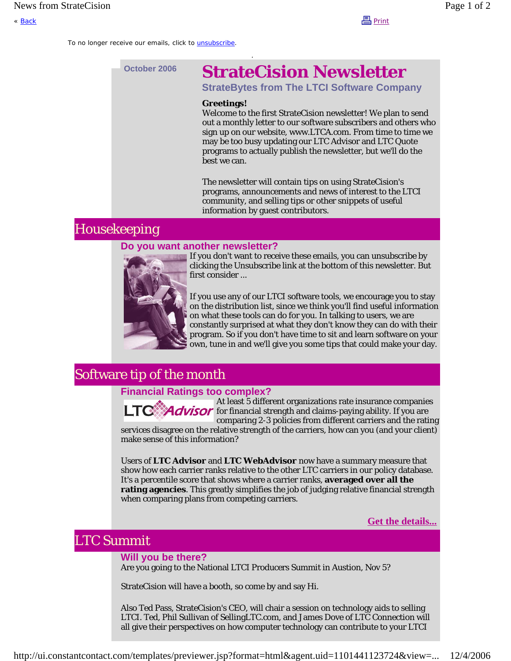« <u>Back</u> Print

To no longer receive our emails, click to *unsubscribe*.

# **October 2006 StrateCision Newsletter**

**StrateBytes from The LTCI Software Company**

#### **Greetings!**

Welcome to the first StrateCision newsletter! We plan to send out a monthly letter to our software subscribers and others who sign up on our website, www.LTCA.com. From time to time we may be too busy updating our LTC Advisor and LTC Quote programs to actually publish the newsletter, but we'll do the best we can.

The newsletter will contain tips on using StrateCision's programs, announcements and news of interest to the LTCI community, and selling tips or other snippets of useful information by guest contributors.

## Housekeeping

### **Do you want another newsletter?**



If you don't want to receive these emails, you can unsubscribe by clicking the Unsubscribe link at the bottom of this newsletter. But first consider ...

If you use any of our LTCI software tools, we encourage you to stay on the distribution list, since we think you'll find useful information on what these tools can do for you. In talking to users, we are constantly surprised at what they don't know they can do with their program. So if you don't have time to sit and learn software on your own, tune in and we'll give you some tips that could make your day.

## Software tip of the month

### **Financial Ratings too complex?**

Advisor

At least 5 different organizations rate insurance companies for financial strength and claims-paying ability. If you are comparing 2-3 policies from different carriers and the rating

services disagree on the relative strength of the carriers, how can you (and your client) make sense of this information?

Users of **LTC Advisor** and **LTC WebAdvisor** now have a summary measure that show how each carrier ranks relative to the other LTC carriers in our policy database. It's a percentile score that shows where a carrier ranks, **averaged over all the rating agencies**. This greatly simplifies the job of judging relative financial strength when comparing plans from competing carriers.

**Get the details...**

## LTC Summit

### **Will you be there?**

Are you going to the National LTCI Producers Summit in Austion, Nov 5?

StrateCision will have a booth, so come by and say Hi.

Also Ted Pass, StrateCision's CEO, will chair a session on technology aids to selling LTCI. Ted, Phil Sullivan of SellingLTC.com, and James Dove of LTC Connection will all give their perspectives on how computer technology can contribute to your LTCI